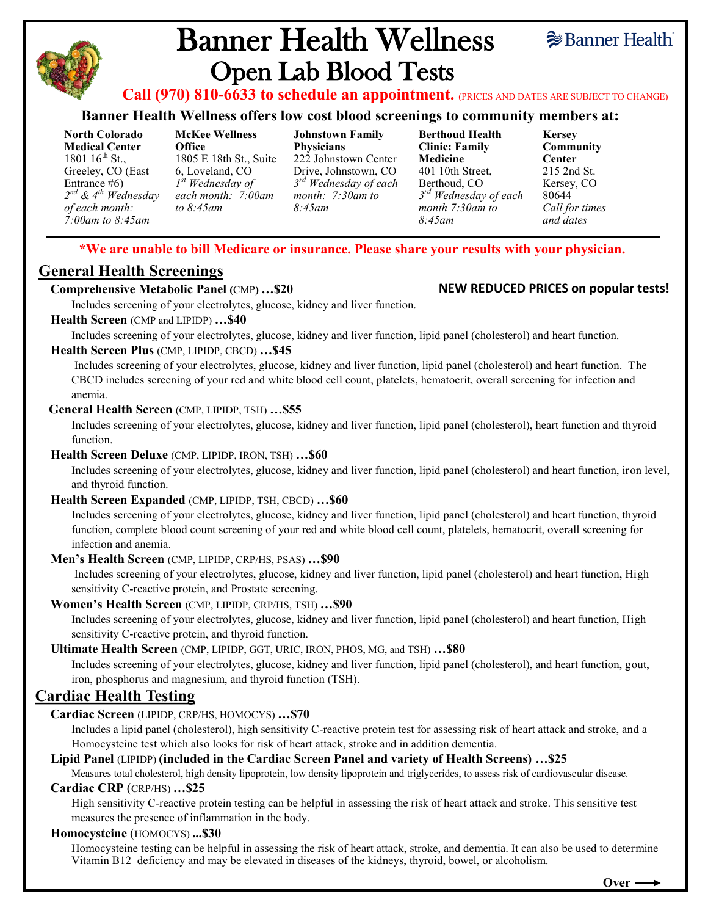

# Banner Health Wellness Open Lab Blood Tests



**Call (970) 810-6633 to schedule an appointment.** (PRICES AND DATES ARE SUBJECT TO CHANGE)

#### **Banner Health Wellness offers low cost blood screenings to community members at:**

**North Colorado Medical Center**  1801  $16^{th}$  St., Greeley, CO (East Entrance #6) *2 nd & 4th Wednesday of each month: 7:00am to 8:45am*

**McKee Wellness Office**  1805 E 18th St., Suite 6, Loveland, CO *1 st Wednesday of each month: 7:00am to 8:45am*

**Johnstown Family Physicians** 222 Johnstown Center Drive, Johnstown, CO *3 rd Wednesday of each month: 7:30am to 8:45am*

**Berthoud Health Clinic: Family Medicine** 401 10th Street, Berthoud, CO *3 rd Wednesday of each month 7:30am to 8:45am*

**Kersey Community Center** 215 2nd St. Kersey, CO 80644 *Call for times and dates*

#### **\*We are unable to bill Medicare or insurance. Please share your results with your physician.**

## **General Health Screenings**

#### **Comprehensive Metabolic Panel (**CMP**) …\$20**

Includes screening of your electrolytes, glucose, kidney and liver function.

#### **Health Screen** (CMP and LIPIDP) **…\$40**

Includes screening of your electrolytes, glucose, kidney and liver function, lipid panel (cholesterol) and heart function.

#### **Health Screen Plus** (CMP, LIPIDP, CBCD) **…\$45**

Includes screening of your electrolytes, glucose, kidney and liver function, lipid panel (cholesterol) and heart function. The CBCD includes screening of your red and white blood cell count, platelets, hematocrit, overall screening for infection and anemia.

#### **General Health Screen** (CMP, LIPIDP, TSH) **…\$55**

Includes screening of your electrolytes, glucose, kidney and liver function, lipid panel (cholesterol), heart function and thyroid function.

#### **Health Screen Deluxe** (CMP, LIPIDP, IRON, TSH) **…\$60**

Includes screening of your electrolytes, glucose, kidney and liver function, lipid panel (cholesterol) and heart function, iron level, and thyroid function.

#### **Health Screen Expanded** (CMP, LIPIDP, TSH, CBCD) **…\$60**

Includes screening of your electrolytes, glucose, kidney and liver function, lipid panel (cholesterol) and heart function, thyroid function, complete blood count screening of your red and white blood cell count, platelets, hematocrit, overall screening for infection and anemia.

#### **Men's Health Screen** (CMP, LIPIDP, CRP/HS, PSAS) **…\$90**

Includes screening of your electrolytes, glucose, kidney and liver function, lipid panel (cholesterol) and heart function, High sensitivity C-reactive protein, and Prostate screening.

#### **Women's Health Screen** (CMP, LIPIDP, CRP/HS, TSH) **…\$90**

Includes screening of your electrolytes, glucose, kidney and liver function, lipid panel (cholesterol) and heart function, High sensitivity C-reactive protein, and thyroid function.

#### **Ultimate Health Screen** (CMP, LIPIDP, GGT, URIC, IRON, PHOS, MG, and TSH) **…\$80**

Includes screening of your electrolytes, glucose, kidney and liver function, lipid panel (cholesterol), and heart function, gout, iron, phosphorus and magnesium, and thyroid function (TSH).

## **Cardiac Health Testing**

#### **Cardiac Screen** (LIPIDP, CRP/HS, HOMOCYS) **…\$70**

Includes a lipid panel (cholesterol), high sensitivity C-reactive protein test for assessing risk of heart attack and stroke, and a Homocysteine test which also looks for risk of heart attack, stroke and in addition dementia.

#### **Lipid Panel** (LIPIDP) **(included in the Cardiac Screen Panel and variety of Health Screens) …\$25**

Measures total cholesterol, high density lipoprotein, low density lipoprotein and triglycerides, to assess risk of cardiovascular disease. **Cardiac CRP** (CRP/HS) **…\$25**

High sensitivity C-reactive protein testing can be helpful in assessing the risk of heart attack and stroke. This sensitive test measures the presence of inflammation in the body.

#### **Homocysteine** (HOMOCYS) **...\$30**

Homocysteine testing can be helpful in assessing the risk of heart attack, stroke, and dementia. It can also be used to determine Vitamin B12 deficiency and may be elevated in diseases of the kidneys, thyroid, bowel, or alcoholism.

## **NEW REDUCED PRICES on popular tests!**